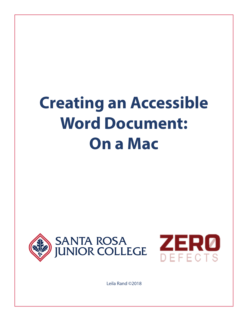# **Creating an Accessible Word Document: On a Mac**





Leila Rand ©2018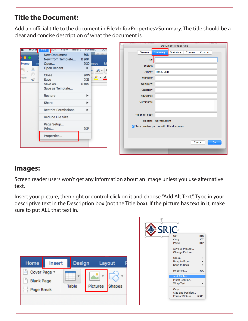## **Title the Document:**

Add an official title to the document in File>Info>Properties>Summary. The title should be a clear and concise description of what the document is.

|                         |                                                                    |                     |                               |  |                 |                                         | <b>Document1 Properties</b> |         |                     |
|-------------------------|--------------------------------------------------------------------|---------------------|-------------------------------|--|-----------------|-----------------------------------------|-----------------------------|---------|---------------------|
| <b>word</b>             | <b>View</b><br><b>Insert</b><br>Edit<br>ніе<br><b>New Document</b> | Format<br><b>HR</b> | TOOI!                         |  | General         | <b>Summary</b>                          | <b>Statistics</b>           | Content | Custom              |
|                         | New from Template                                                  | <b>介出P</b>          |                               |  | Title:          |                                         |                             |         |                     |
| Home<br><b>Ins</b><br>ౘ | Open<br>Open Recent                                                | \$0<br>▶            | nces                          |  | Subject:        |                                         |                             |         |                     |
| ¢                       | Close                                                              | <b>第W</b>           | $A^{\mathbf{u}}$ $\mathbf{v}$ |  |                 | Author: Rand, Leila                     |                             |         |                     |
| Paste<br>♦              | Save                                                               | <b></b> S           | $\frac{1}{2}$ + $\frac{1}{2}$ |  | Manager:        |                                         |                             |         |                     |
|                         | Save As                                                            | <b>介出S</b>          |                               |  | Company:        |                                         |                             |         |                     |
|                         | Save as Template                                                   |                     |                               |  | Category:       |                                         |                             |         |                     |
|                         | Restore                                                            | ▶                   |                               |  | Keywords:       |                                         |                             |         |                     |
|                         | Share                                                              | ▶                   |                               |  | Comments:       |                                         |                             |         |                     |
|                         | <b>Restrict Permissions</b>                                        | ▶                   |                               |  |                 |                                         |                             |         |                     |
|                         | Reduce File Size                                                   |                     |                               |  | Hyperlink base: |                                         |                             |         |                     |
|                         | Page Setup                                                         |                     |                               |  |                 | Template: Normal.dotm                   |                             |         |                     |
|                         | Print                                                              | $_{\tt BP}$         |                               |  |                 | Save preview picture with this document |                             |         |                     |
|                         | Properties                                                         |                     |                               |  |                 |                                         |                             |         |                     |
|                         |                                                                    |                     |                               |  |                 |                                         |                             |         | <b>OK</b><br>Cancel |
|                         |                                                                    |                     |                               |  |                 |                                         |                             |         |                     |

#### **Images:**

Screen reader users won't get any information about an image unless you use alternative text.

Insert your picture, then right or control-click on it and choose "Add Alt Text". Type in your descriptive text in the Description box (not the Title box). If the picture has text in it, make sure to put ALL that text in.

| Home              | <b>Insert</b> | Design       |          | Layout |
|-------------------|---------------|--------------|----------|--------|
| Cover Page *      |               | v            |          |        |
| <b>Blank Page</b> |               |              |          |        |
| Page Break        |               | <b>Table</b> | Pictures | Shapes |
|                   |               |              |          |        |

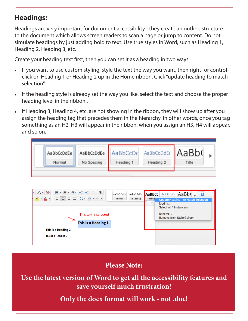## **Headings:**

Headings are very important for document accessibility - they create an outline structure to the document which allows screen readers to scan a page or jump to content. Do not simulate headings by just adding bold to text. Use true styles in Word, such as Heading 1, Heading 2, Heading 3, etc.

Create your heading text first, then you can set it as a heading in two ways:

- If you want to use custom styling, style the text the way you want, then right- or controlclick on Heading 1 or Heading 2 up in the Home ribbon. Click "update heading to match selection"
- If the heading style is already set the way you like, select the text and choose the proper heading level in the ribbon..
- If Heading 3, Heading 4, etc. are not showing in the ribbon, they will show up after you assign the heading tag that precedes them in the hierarchy. In other words, once you tag something as an H2, H3 will appear in the ribbon, when you assign an H3, H4 will appear, and so on.

| AaBbCcDdEE AaBb(<br>AaBbCcDdEe   AaBbCcDc<br>AaBbCcDdEe<br>No Spacing<br>Heading 2<br>Heading 1<br>Title<br>Normal |  |  |  |  |  |  |
|--------------------------------------------------------------------------------------------------------------------|--|--|--|--|--|--|
|--------------------------------------------------------------------------------------------------------------------|--|--|--|--|--|--|

| $\overline{A}$<br><b>三十日,</b> 妇利<br>$\leftarrow$ $\leftarrow$ $\leftarrow$ $\leftarrow$ $\leftarrow$<br>H<br>$A^{\bullet}$<br>AaBbCcDdEe<br>$\equiv \equiv \equiv \equiv   \sharp \equiv \text{r}   \text{A} \parallel \text{r}    \text{m}    \text{r}$<br>$\mathbf{r}$ $\mathbf{A}$ $\mathbf{r}$<br>Normal<br>This text is selected<br>This is a Heading 1 | AaBb(<br>AaBbCcDdEe<br>AaBbCc<br>AaBbCcDdEe<br>No Spacing<br>Heading<br><b>Update Heading 1 to Match Selection</b><br>$\overline{\mathbf{v}}$<br>Modify<br>Select All 1 Instance(s)<br>Rename<br><b>Remove from Style Gallery</b> |
|--------------------------------------------------------------------------------------------------------------------------------------------------------------------------------------------------------------------------------------------------------------------------------------------------------------------------------------------------------------|-----------------------------------------------------------------------------------------------------------------------------------------------------------------------------------------------------------------------------------|
| This is a Heading 2<br>This is a Heading 3                                                                                                                                                                                                                                                                                                                   |                                                                                                                                                                                                                                   |

**Please Note:**

**Use the latest version of Word to get all the accessibility features and save yourself much frustration!**

**Only the docx format will work - not .doc!**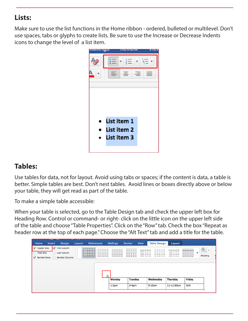## **Lists:**

Make sure to use the list functions in the Home ribbon - ordered, bulleted or multilevel. Don't use spaces, tabs or glyphs to create lists. Be sure to use the Increase or Decrease Indents icons to change the level of a list item.



## **Tables:**

Use tables for data, not for layout. Avoid using tabs or spaces; if the content is data, a table is better. Simple tables are best. Don't nest tables. Avoid lines or boxes directly above or below your table, they will get read as part of the table.

To make a simple table accessible:

When your table is selected, go to the Table Design tab and check the upper left box for Heading Row. Control or command- or right- click on the little icon on the upper left side of the table and choose "Table Properties". Click on the "Row" tab. Check the box "Repeat as header row at the top of each page." Choose the "Alt Text" tab and add a title for the table.

| Home             | <b>Insert</b> | <b>Design</b>         | <b>The Property</b><br>Layout | <b>References</b> |                    | <b>Mailings</b> | <b>Review</b>  | <b>View</b> | <b>Table Design</b> | Layout          |                              |                                 |
|------------------|---------------|-----------------------|-------------------------------|-------------------|--------------------|-----------------|----------------|-------------|---------------------|-----------------|------------------------------|---------------------------------|
| Header Row       |               | First Column          |                               |                   |                    |                 |                |             |                     |                 | <u>د اد اد اد ا</u><br>eeeee | $\frac{\sqrt{2}}{2}$<br>$\cdot$ |
| <b>Total Row</b> |               | Last Column           |                               |                   | -<br>$- - - - - -$ | $    -$         |                |             |                     |                 | ------<br>------<br>$    -$  | Shading                         |
| Banded Rows      |               | <b>Banded Columns</b> |                               |                   |                    |                 |                |             |                     |                 |                              |                                 |
|                  |               |                       |                               |                   |                    |                 |                |             |                     |                 |                              |                                 |
|                  |               |                       |                               |                   |                    |                 |                |             |                     |                 |                              |                                 |
|                  |               |                       |                               |                   | $\overline{+}$     |                 |                |             |                     |                 |                              |                                 |
|                  |               |                       |                               |                   |                    | <b>Monday</b>   | <b>Tuesday</b> |             | Wednesday           | <b>Thursday</b> | Friday                       |                                 |
|                  |               |                       |                               |                   |                    | $1-2pm$         | $3-4pm$        |             | 9-10am              | 11-11:30am      | N/A                          |                                 |
|                  |               |                       |                               |                   |                    |                 |                |             |                     |                 |                              |                                 |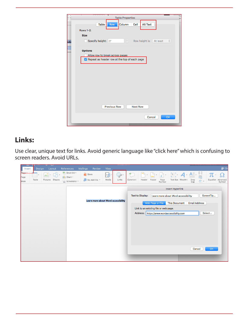|     | Table Properties<br>er.                                                                             |
|-----|-----------------------------------------------------------------------------------------------------|
|     | Column<br>Cell<br><b>Alt Text</b><br>Table<br>Row                                                   |
|     | <b>Rows 1-2:</b>                                                                                    |
|     | <b>Size</b>                                                                                         |
|     |                                                                                                     |
| sda | $\boxed{\div}$<br>Specify height:<br>Row height is:<br>At least<br>O <sup>11</sup><br>$\hat{\cdot}$ |
|     | <b>Options</b>                                                                                      |
|     | Allow row to break across pages                                                                     |
|     | Repeat as header row at the top of each page                                                        |
|     |                                                                                                     |
|     |                                                                                                     |
|     |                                                                                                     |
|     |                                                                                                     |
|     |                                                                                                     |
|     |                                                                                                     |
|     |                                                                                                     |
|     |                                                                                                     |
|     |                                                                                                     |
|     | <b>Previous Row</b><br><b>Next Row</b>                                                              |
|     |                                                                                                     |
|     | OK<br>Cancel                                                                                        |
|     |                                                                                                     |
|     |                                                                                                     |

## **Links:**

Use clear, unique text for links. Avoid generic language like "click here" which is confusing to screen readers. Avoid URLs.

| Design<br>Layout<br>Insert                                                    | <b>Mailings</b><br><b>References</b><br>Review<br>View                                               |                                     |                                     |                                                                                                         |                                       |                                                               | $2+sh$                               |
|-------------------------------------------------------------------------------|------------------------------------------------------------------------------------------------------|-------------------------------------|-------------------------------------|---------------------------------------------------------------------------------------------------------|---------------------------------------|---------------------------------------------------------------|--------------------------------------|
| 5000<br>- 3<br>∠<br>$\mathbf{v}$<br>Page<br>Pictures Shapes<br>Table<br>Break | SmartArt *<br>$\theta$ Store<br>围<br>$\ \cdot\ $ Chart $\tau$<br>Media<br>My Add-ins<br>Screenshot v | $\overline{\mathscr{C}}$ .<br>Links | $\overline{t}$<br>Comment<br>Header | $+$<br>Footer<br>Page<br>Number                                                                         | $A = \frac{1}{2}$<br>Text Box WordArt | $\underline{\triangle}$ .<br>$\Box$<br>5<br>Drop<br>÷Ė<br>Cap | $\pi$<br>Equation Advanced<br>Symbol |
|                                                                               |                                                                                                      |                                     |                                     |                                                                                                         | <b>Insert Hyperlink</b>               |                                                               |                                      |
|                                                                               |                                                                                                      |                                     | <b>Text to Display:</b>             | Learn more about Word accessibility                                                                     |                                       |                                                               | ScreenTip                            |
|                                                                               | Learn more about Word accessibility                                                                  |                                     |                                     | Web Page or File<br>Link to an existing file or web page.<br>Address: https://www.wordaccessibility.com | <b>This Document</b>                  | <b>Email Address</b><br>Cancel                                | Select<br>OK                         |